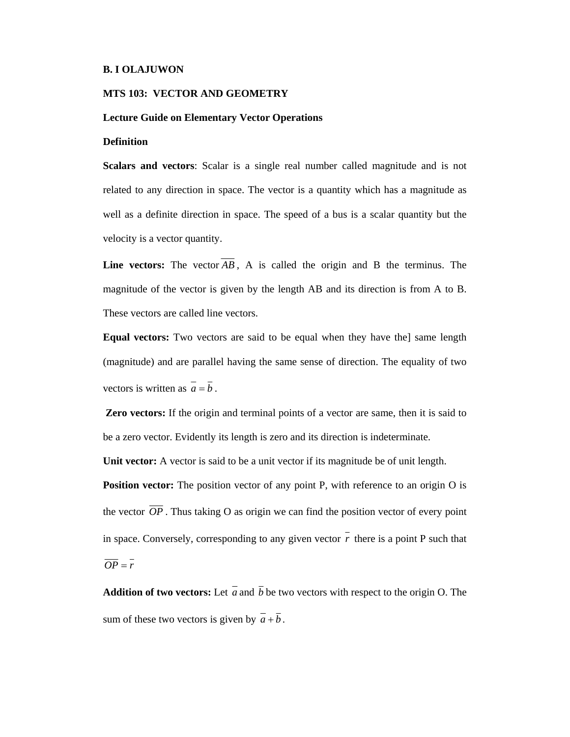#### **B. I OLAJUWON**

## **MTS 103: VECTOR AND GEOMETRY**

## **Lecture Guide on Elementary Vector Operations**

### **Definition**

**Scalars and vectors**: Scalar is a single real number called magnitude and is not related to any direction in space. The vector is a quantity which has a magnitude as well as a definite direction in space. The speed of a bus is a scalar quantity but the velocity is a vector quantity.

**Line vectors:** The vector *AB* , A is called the origin and B the terminus. The magnitude of the vector is given by the length AB and its direction is from A to B. These vectors are called line vectors.

**Equal vectors:** Two vectors are said to be equal when they have the] same length (magnitude) and are parallel having the same sense of direction. The equality of two vectors is written as  $\overline{a} = \overline{b}$ .

 **Zero vectors:** If the origin and terminal points of a vector are same, then it is said to be a zero vector. Evidently its length is zero and its direction is indeterminate.

**Unit vector:** A vector is said to be a unit vector if its magnitude be of unit length.

**Position vector:** The position vector of any point P, with reference to an origin O is the vector  $\overline{OP}$ . Thus taking O as origin we can find the position vector of every point in space. Conversely, corresponding to any given vector  $\overline{r}$  there is a point P such that  $\overline{OP} = \overline{r}$ 

**Addition of two vectors:** Let  $\overline{a}$  and  $\overline{b}$  be two vectors with respect to the origin O. The sum of these two vectors is given by  $\overline{a} + \overline{b}$ .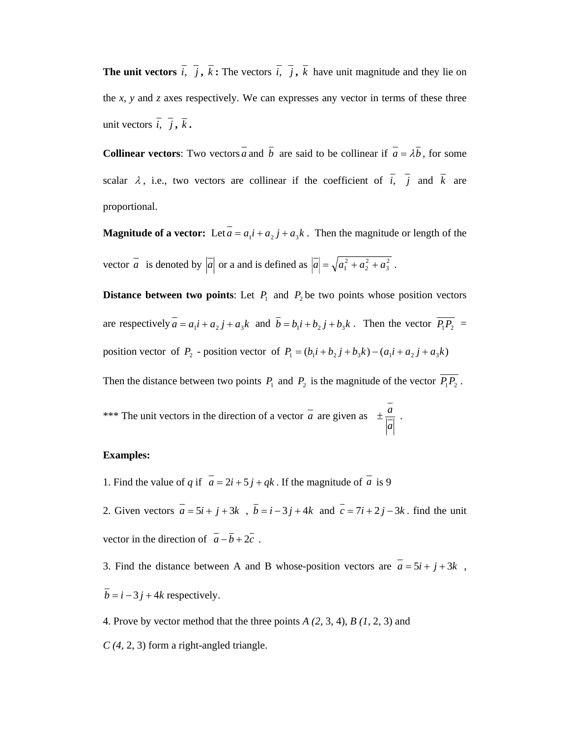**The unit vectors**  $\overline{i}$ ,  $\overline{j}$ ,  $\overline{k}$  **:** The vectors  $\overline{i}$ ,  $\overline{j}$ ,  $\overline{k}$  have unit magnitude and they lie on the *x, y* and *z* axes respectively. We can expresses any vector in terms of these three unit vectors  $\overline{i}$ ,  $\overline{j}$ ,  $\overline{k}$ .

**Collinear vectors:** Two vectors *a* and *b* are said to be collinear if  $\overline{a} = \lambda \overline{b}$ , for some scalar  $\lambda$ , i.e., two vectors are collinear if the coefficient of  $\overline{i}$ ,  $\overline{j}$  and  $\overline{k}$  are proportional.

**Magnitude of a vector:** Let  $\overline{a} = a_1 i + a_2 j + a_3 k$ . Then the magnitude or length of the vector  $\overline{a}$  is denoted by  $|\overline{a}|$  or a and is defined as  $|\overline{a}| = \sqrt{a_1^2 + a_2^2 + a_3^2}$ .

**Distance between two points:** Let  $P_1$  and  $P_2$  be two points whose position vectors are respectively  $\overline{a} = a_1 i + a_2 j + a_3 k$  and  $\overline{b} = b_1 i + b_2 j + b_3 k$ . Then the vector  $\overline{P_1 P_2} =$ position vector of *P*<sub>2</sub> - position vector of  $P_1 = (b_1 i + b_2 j + b_3 k) - (a_1 i + a_2 j + a_3 k)$ 

Then the distance between two points  $P_1$  and  $P_2$  is the magnitude of the vector  $\overline{P_1P_2}$ .

\*\*\* The unit vectors in the direction of a vector *a* are given as *a*  $\pm \frac{a}{\Box}$ .

# **Examples:**

- 1. Find the value of *q* if  $\overline{a} = 2i + 5j + qk$ . If the magnitude of  $\overline{a}$  is 9
- 2. Given vectors  $\overline{a} = 5i + j + 3k$ ,  $\overline{b} = i 3j + 4k$  and  $\overline{c} = 7i + 2j 3k$ . find the unit vector in the direction of  $\overline{a} - \overline{b} + 2\overline{c}$ .

3. Find the distance between A and B whose-position vectors are  $\overline{a} = 5i + j + 3k$ ,  $\overline{b} = i - 3j + 4k$  respectively.

4. Prove by vector method that the three points *A (2,* 3, 4), *B (1,* 2, 3) and

*C (4,* 2, 3) form a right-angled triangle.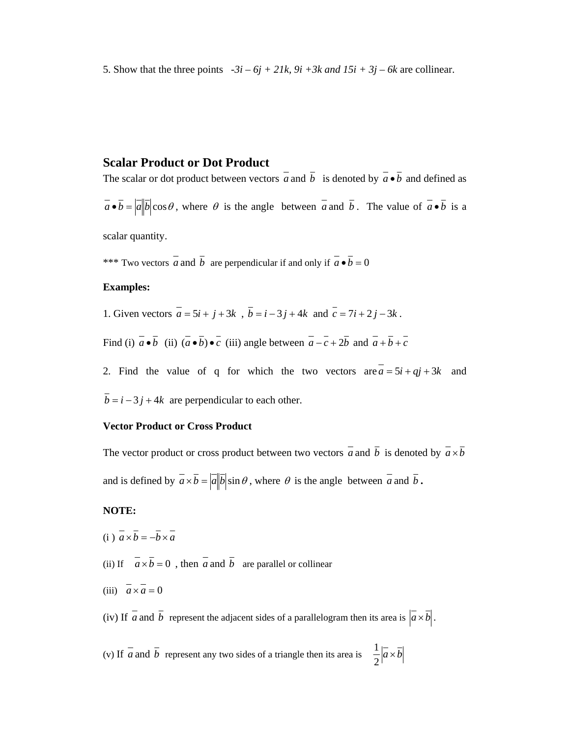5. Show that the three points  $-3i - 6j + 21k$ ,  $9i + 3k$  and  $15i + 3j - 6k$  are collinear.

# **Scalar Product or Dot Product**

The scalar or dot product between vectors  $\overline{a}$  and  $\overline{b}$  is denoted by  $\overline{a} \cdot \overline{b}$  and defined as  $\overline{a} \cdot \overline{b} = |\overline{a}||\overline{b}|\cos\theta$ , where  $\theta$  is the angle between  $\overline{a}$  and  $\overline{b}$ . The value of  $\overline{a} \cdot \overline{b}$  is a

scalar quantity.

\*\*\* Two vectors  $\overline{a}$  and  $\overline{b}$  are perpendicular if and only if  $\overline{a} \cdot \overline{b} = 0$ 

### **Examples:**

1. Given vectors  $\overline{a} = 5i + j + 3k$ ,  $\overline{b} = i - 3j + 4k$  and  $\overline{c} = 7i + 2j - 3k$ .

Find (i)  $\overline{a} \cdot \overline{b}$  (ii)  $(\overline{a} \cdot \overline{b}) \cdot \overline{c}$  (iii) angle between  $\overline{a-c} + 2\overline{b}$  and  $\overline{a+b+c}$ 

- 2. Find the value of q for which the two vectors are  $\overline{a} = 5i + qj + 3k$  and
- $\overline{b} = i 3j + 4k$  are perpendicular to each other.

# **Vector Product or Cross Product**

The vector product or cross product between two vectors  $\overline{a}$  and  $\overline{b}$  is denoted by  $\overline{a} \times \overline{b}$ and is defined by  $\overline{a} \times \overline{b} = |\overline{a}||\overline{b}| \sin \theta$ , where  $\theta$  is the angle between  $\overline{a}$  and  $\overline{b}$ .

# **NOTE:**

- (i)  $\overline{a} \times \overline{b} = -\overline{b} \times \overline{a}$
- (ii) If  $\overline{a} \times \overline{b} = 0$ , then  $\overline{a}$  and  $\overline{b}$  are parallel or collinear
- (iii)  $\overline{a} \times \overline{a} = 0$

(iv) If  $\overline{a}$  and  $\overline{b}$  represent the adjacent sides of a parallelogram then its area is  $\overline{a} \times \overline{b}$ .

(v) If *a* and *b* represent any two sides of a triangle then its area is  $\frac{1}{2}$   $\left| a \times b \right|$ 2  $\frac{1}{a}|\vec{a}\times\vec{b}|$